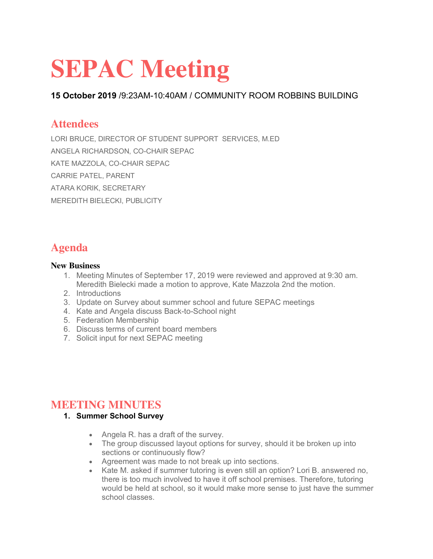# **SEPAC Meeting**

**15 October 2019** /9:23AM-10:40AM / COMMUNITY ROOM ROBBINS BUILDING

## **Attendees**

LORI BRUCE, DIRECTOR OF STUDENT SUPPORT SERVICES, M.ED ANGELA RICHARDSON, CO-CHAIR SEPAC KATE MAZZOLA, CO-CHAIR SEPAC CARRIE PATEL, PARENT ATARA KORIK, SECRETARY MEREDITH BIELECKI, PUBLICITY

## **Agenda**

#### **New Business**

- 1. Meeting Minutes of September 17, 2019 were reviewed and approved at 9:30 am. Meredith Bielecki made a motion to approve, Kate Mazzola 2nd the motion.
- 2. Introductions
- 3. Update on Survey about summer school and future SEPAC meetings
- 4. Kate and Angela discuss Back-to-School night
- 5. Federation Membership
- 6. Discuss terms of current board members
- 7. Solicit input for next SEPAC meeting

## **MEETING MINUTES**

- **1. Summer School Survey**
	- Angela R. has a draft of the survey.
	- The group discussed layout options for survey, should it be broken up into sections or continuously flow?
	- Agreement was made to not break up into sections.
	- Kate M. asked if summer tutoring is even still an option? Lori B. answered no, there is too much involved to have it off school premises. Therefore, tutoring would be held at school, so it would make more sense to just have the summer school classes.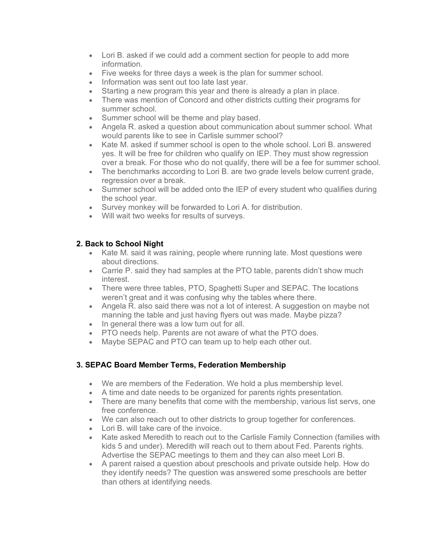- Lori B. asked if we could add a comment section for people to add more information.
- Five weeks for three days a week is the plan for summer school.
- Information was sent out too late last year.
- Starting a new program this year and there is already a plan in place.
- There was mention of Concord and other districts cutting their programs for summer school.
- Summer school will be theme and play based.
- Angela R. asked a question about communication about summer school. What would parents like to see in Carlisle summer school?
- Kate M. asked if summer school is open to the whole school. Lori B. answered yes. It will be free for children who qualify on IEP. They must show regression over a break. For those who do not qualify, there will be a fee for summer school.
- The benchmarks according to Lori B. are two grade levels below current grade, regression over a break.
- Summer school will be added onto the IEP of every student who qualifies during the school year.
- Survey monkey will be forwarded to Lori A. for distribution.
- Will wait two weeks for results of surveys.

#### **2. Back to School Night**

- Kate M. said it was raining, people where running late. Most questions were about directions.
- Carrie P. said they had samples at the PTO table, parents didn't show much interest.
- There were three tables, PTO, Spaghetti Super and SEPAC. The locations weren't great and it was confusing why the tables where there.
- Angela R. also said there was not a lot of interest. A suggestion on maybe not manning the table and just having flyers out was made. Maybe pizza?
- In general there was a low turn out for all.
- PTO needs help. Parents are not aware of what the PTO does.
- Maybe SEPAC and PTO can team up to help each other out.

#### **3. SEPAC Board Member Terms, Federation Membership**

- We are members of the Federation. We hold a plus membership level.
- A time and date needs to be organized for parents rights presentation.
- There are many benefits that come with the membership, various list servs, one free conference.
- We can also reach out to other districts to group together for conferences.
- Lori B. will take care of the invoice.
- Kate asked Meredith to reach out to the Carlisle Family Connection (families with kids 5 and under). Meredith will reach out to them about Fed. Parents rights. Advertise the SEPAC meetings to them and they can also meet Lori B.
- A parent raised a question about preschools and private outside help. How do they identify needs? The question was answered some preschools are better than others at identifying needs.